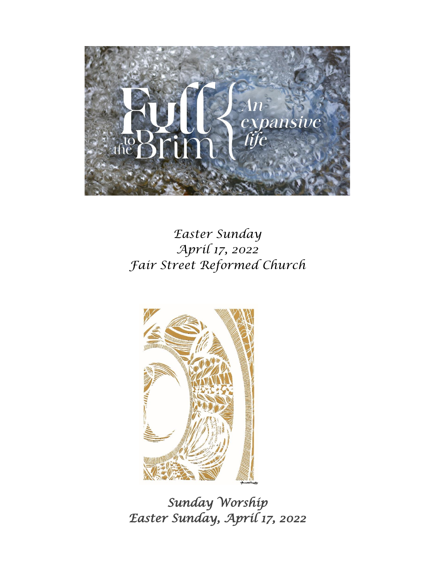

# *Easter Sunday April 17, 2022 Fair Street Reformed Church*



*Sunday Worship Easter Sunday, April 17, 2022*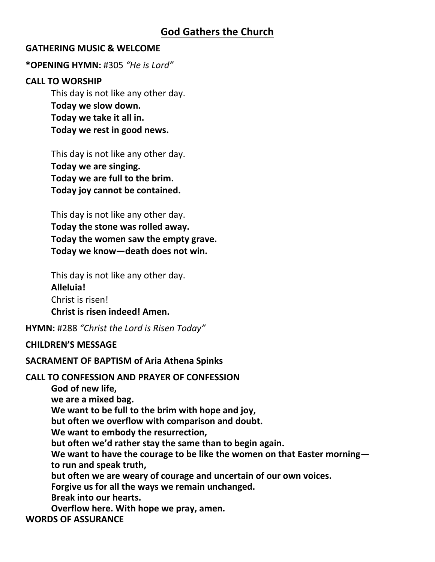## **God Gathers the Church**

## **GATHERING MUSIC & WELCOME**

## **\*OPENING HYMN:** #305 *"He is Lord"*

#### **CALL TO WORSHIP**

This day is not like any other day. **Today we slow down. Today we take it all in. Today we rest in good news.**

This day is not like any other day. **Today we are singing. Today we are full to the brim. Today joy cannot be contained.**

This day is not like any other day. **Today the stone was rolled away. Today the women saw the empty grave. Today we know—death does not win.**

This day is not like any other day. **Alleluia!**  Christ is risen! **Christ is risen indeed! Amen.**

**HYMN:** #288 *"Christ the Lord is Risen Today"*

## **CHILDREN'S MESSAGE**

**SACRAMENT OF BAPTISM of Aria Athena Spinks**

#### **CALL TO CONFESSION AND PRAYER OF CONFESSION**

**God of new life, we are a mixed bag. We want to be full to the brim with hope and joy, but often we overflow with comparison and doubt. We want to embody the resurrection, but often we'd rather stay the same than to begin again. We want to have the courage to be like the women on that Easter morning to run and speak truth, but often we are weary of courage and uncertain of our own voices. Forgive us for all the ways we remain unchanged. Break into our hearts. Overflow here. With hope we pray, amen.**

**WORDS OF ASSURANCE**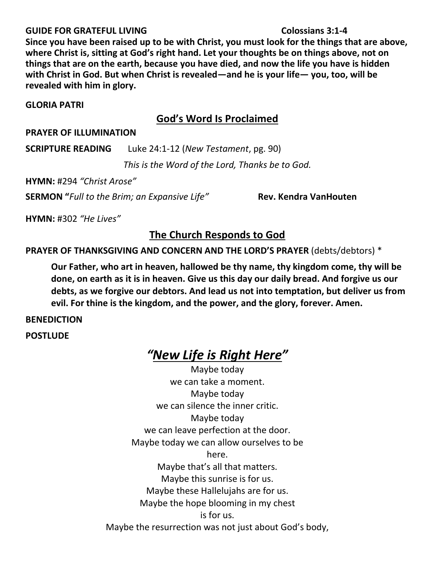#### **GUIDE FOR GRATEFUL LIVING Colossians 3:1-4**

## **Since you have been raised up to be with Christ, you must look for the things that are above, where Christ is, sitting at God's right hand. Let your thoughts be on things above, not on things that are on the earth, because you have died, and now the life you have is hidden with Christ in God. But when Christ is revealed—and he is your life— you, too, will be revealed with him in glory.**

## **GLORIA PATRI**

## **God's Word Is Proclaimed**

## **PRAYER OF ILLUMINATION**

**SCRIPTURE READING** Luke 24:1-12 (*New Testament*, pg. 90)

*This is the Word of the Lord, Thanks be to God.*

**HYMN:** #294 *"Christ Arose"*

**SERMON "***Full to the Brim; an Expansive Life"* **Rev. Kendra VanHouten**

**HYMN:** #302 *"He Lives"*

## **The Church Responds to God**

**PRAYER OF THANKSGIVING AND CONCERN AND THE LORD'S PRAYER** (debts/debtors) \*

**Our Father, who art in heaven, hallowed be thy name, thy kingdom come, thy will be done, on earth as it is in heaven. Give us this day our daily bread. And forgive us our debts, as we forgive our debtors. And lead us not into temptation, but deliver us from evil. For thine is the kingdom, and the power, and the glory, forever. Amen.** 

## **BENEDICTION**

**POSTLUDE**

# *"New Life is Right Here"*

Maybe today we can take a moment. Maybe today we can silence the inner critic. Maybe today we can leave perfection at the door. Maybe today we can allow ourselves to be here. Maybe that's all that matters. Maybe this sunrise is for us. Maybe these Hallelujahs are for us. Maybe the hope blooming in my chest is for us. Maybe the resurrection was not just about God's body,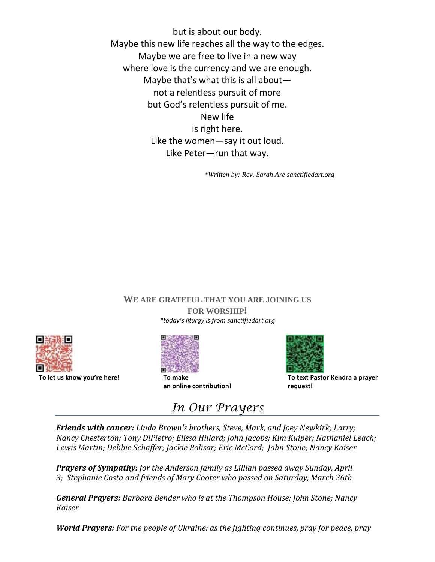but is about our body. Maybe this new life reaches all the way to the edges. Maybe we are free to live in a new way where love is the currency and we are enough. Maybe that's what this is all about not a relentless pursuit of more but God's relentless pursuit of me. New life is right here. Like the women—say it out loud. Like Peter—run that way.

*\*Written by: Rev. Sarah Are sanctifiedart.org*

#### **WE ARE GRATEFUL THAT YOU ARE JOINING US**

**FOR WORSHIP!** *\*today's liturgy is from sanctifiedart.org*



**To let us know you're here! To make**



**an online contribution!**



**To text Pastor Kendra a prayer request!**

*In Our Prayers*

*Friends with cancer: Linda Brown's brothers, Steve, Mark, and Joey Newkirk; Larry; Nancy Chesterton; Tony DiPietro; Elissa Hillard; John Jacobs; Kim Kuiper; Nathaniel Leach; Lewis Martin; Debbie Schaffer; Jackie Polisar; Eric McCord; John Stone; Nancy Kaiser*

*Prayers of Sympathy: for the Anderson family as Lillian passed away Sunday, April 3; Stephanie Costa and friends of Mary Cooter who passed on Saturday, March 26th*

*General Prayers: Barbara Bender who is at the Thompson House; John Stone; Nancy Kaiser*

*World Prayers: For the people of Ukraine: as the fighting continues, pray for peace, pray*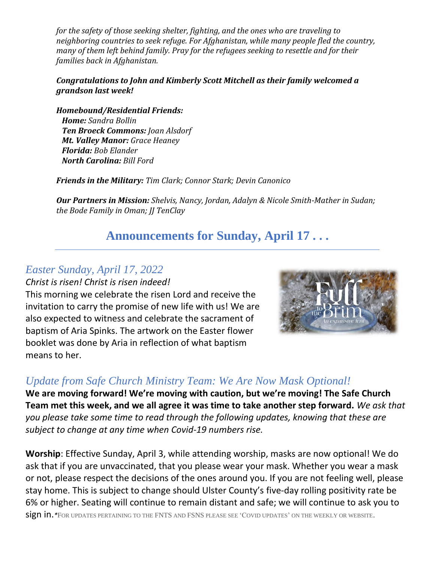*for the safety of those seeking shelter, fighting, and the ones who are traveling to neighboring countries to seek refuge. For Afghanistan, while many people fled the country, many of them left behind family. Pray for the refugees seeking to resettle and for their families back in Afghanistan.*

## *Congratulations to John and Kimberly Scott Mitchell as their family welcomed a grandson last week!*

*Homebound/Residential Friends: Home: Sandra Bollin Ten Broeck Commons: Joan Alsdorf Mt. Valley Manor: Grace Heaney Florida: Bob Elander North Carolina: Bill Ford*

*Friends in the Military: Tim Clark; Connor Stark; Devin Canonico*

*Our Partners in Mission: Shelvis, Nancy, Jordan, Adalyn & Nicole Smith-Mather in Sudan; the Bode Family in Oman; JJ TenClay*

# **Announcements for Sunday, April 17 . . .**

## *Easter Sunday, April 17, 2022*

*Christ is risen! Christ is risen indeed!*

This morning we celebrate the risen Lord and receive the invitation to carry the promise of new life with us! We are also expected to witness and celebrate the sacrament of baptism of Aria Spinks. The artwork on the Easter flower booklet was done by Aria in reflection of what baptism means to her.



## *Update from Safe Church Ministry Team: We Are Now Mask Optional!*

**We are moving forward! We're moving with caution, but we're moving! The Safe Church Team met this week, and we all agree it was time to take another step forward.** *We ask that you please take some time to read through the following updates, knowing that these are subject to change at any time when Covid-19 numbers rise.*

**Worship**: Effective Sunday, April 3, while attending worship, masks are now optional! We do ask that if you are unvaccinated, that you please wear your mask. Whether you wear a mask or not, please respect the decisions of the ones around you. If you are not feeling well, please stay home. This is subject to change should Ulster County's five-day rolling positivity rate be 6% or higher. Seating will continue to remain distant and safe; we will continue to ask you to sign in.*\**FOR UPDATES PERTAINING TO THE FNTS AND FSNS PLEASE SEE 'COVID UPDATES' ON THE WEEKLY OR WEBSITE.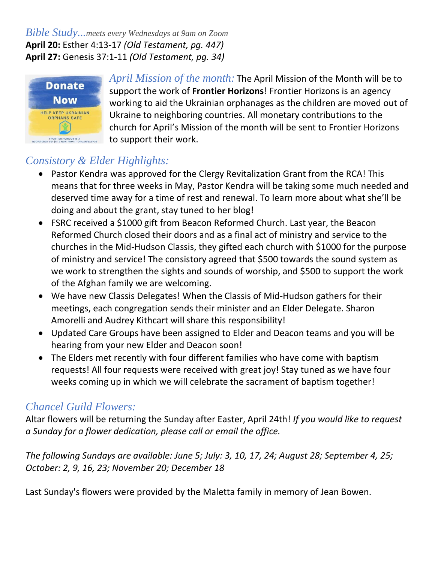## *Bible Study...meets every Wednesdays at 9am on Zoom* **April 20:** Esther 4:13-17 *(Old Testament, pg. 447)* **April 27:** Genesis 37:1-11 *(Old Testament, pg. 34)*



*April Mission of the month:* The April Mission of the Month will be to support the work of **Frontier Horizons**! Frontier Horizons is an agency working to aid the Ukrainian orphanages as the children are moved out of Ukraine to neighboring countries. All monetary contributions to the church for April's Mission of the month will be sent to Frontier Horizons to support their work.

# *Consistory & Elder Highlights:*

- Pastor Kendra was approved for the Clergy Revitalization Grant from the RCA! This means that for three weeks in May, Pastor Kendra will be taking some much needed and deserved time away for a time of rest and renewal. To learn more about what she'll be doing and about the grant, stay tuned to her blog!
- FSRC received a \$1000 gift from Beacon Reformed Church. Last year, the Beacon Reformed Church closed their doors and as a final act of ministry and service to the churches in the Mid-Hudson Classis, they gifted each church with \$1000 for the purpose of ministry and service! The consistory agreed that \$500 towards the sound system as we work to strengthen the sights and sounds of worship, and \$500 to support the work of the Afghan family we are welcoming.
- We have new Classis Delegates! When the Classis of Mid-Hudson gathers for their meetings, each congregation sends their minister and an Elder Delegate. Sharon Amorelli and Audrey Kithcart will share this responsibility!
- Updated Care Groups have been assigned to Elder and Deacon teams and you will be hearing from your new Elder and Deacon soon!
- The Elders met recently with four different families who have come with baptism requests! All four requests were received with great joy! Stay tuned as we have four weeks coming up in which we will celebrate the sacrament of baptism together!

# *Chancel Guild Flowers:*

Altar flowers will be returning the Sunday after Easter, April 24th! *If you would like to request a Sunday for a flower dedication, please call or email the office.*

*The following Sundays are available: June 5; July: 3, 10, 17, 24; August 28; September 4, 25; October: 2, 9, 16, 23; November 20; December 18*

Last Sunday's flowers were provided by the Maletta family in memory of Jean Bowen.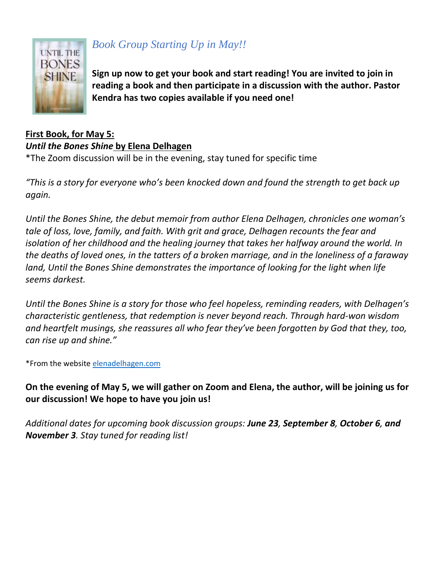

# *Book Group Starting Up in May!!*

**Sign up now to get your book and start reading! You are invited to join in reading a book and then participate in a discussion with the author. Pastor Kendra has two copies available if you need one!**

## **First Book, for May 5:**

*Until the Bones Shine* **by Elena Delhagen**

\*The Zoom discussion will be in the evening, stay tuned for specific time

*"This is a story for everyone who's been knocked down and found the strength to get back up again.*

*Until the Bones Shine, the debut memoir from author Elena Delhagen, chronicles one woman's tale of loss, love, family, and faith. With grit and grace, Delhagen recounts the fear and isolation of her childhood and the healing journey that takes her halfway around the world. In the deaths of loved ones, in the tatters of a broken marriage, and in the loneliness of a faraway land, Until the Bones Shine demonstrates the importance of looking for the light when life seems darkest.*

*Until the Bones Shine is a story for those who feel hopeless, reminding readers, with Delhagen's characteristic gentleness, that redemption is never beyond reach. Through hard-won wisdom and heartfelt musings, she reassures all who fear they've been forgotten by God that they, too, can rise up and shine."*

\*From the website [elenadelhagen.com](http://elenadelhagen.com/)

**On the evening of May 5, we will gather on Zoom and Elena, the author, will be joining us for our discussion! We hope to have you join us!**

*Additional dates for upcoming book discussion groups: June 23, September 8, October 6, and November 3. Stay tuned for reading list!*